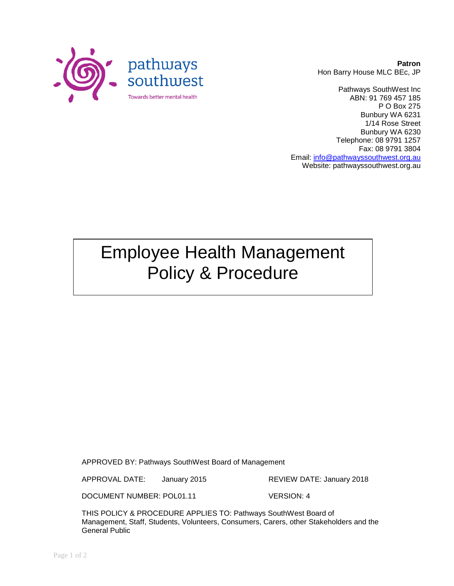

**Patron** Hon Barry House MLC BEc, JP

Pathways SouthWest Inc ABN: 91 769 457 185 P O Box 275 Bunbury WA 6231 1/14 Rose Street Bunbury WA 6230 Telephone: 08 9791 1257 Fax: 08 9791 3804 Email: [info@pathwayssouthwest.org.au](mailto:info@pathwayssouthwest.org.au) Website: pathwayssouthwest.org.au

# Employee Health Management Policy & Procedure

APPROVED BY: Pathways SouthWest Board of Management

APPROVAL DATE: January 2015 REVIEW DATE: January 2018

DOCUMENT NUMBER: POL01.11 VERSION: 4

THIS POLICY & PROCEDURE APPLIES TO: Pathways SouthWest Board of Management, Staff, Students, Volunteers, Consumers, Carers, other Stakeholders and the General Public